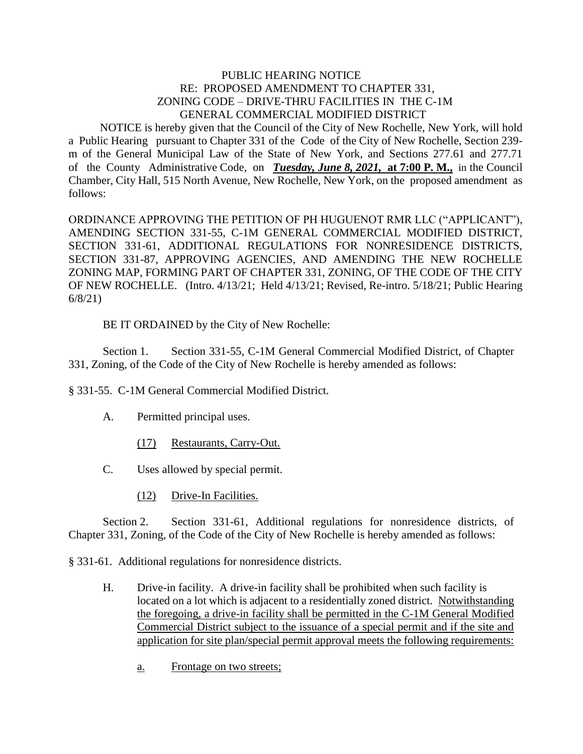## PUBLIC HEARING NOTICE RE: PROPOSED AMENDMENT TO CHAPTER 331, ZONING CODE – DRIVE-THRU FACILITIES IN THE C-1M GENERAL COMMERCIAL MODIFIED DISTRICT

 NOTICE is hereby given that the Council of the City of New Rochelle, New York, will hold a Public Hearing pursuant to Chapter 331 of the Code of the City of New Rochelle, Section 239 m of the General Municipal Law of the State of New York, and Sections 277.61 and 277.71 of the County Administrative Code, on *Tuesday, June 8, 2021,* **at 7:00 P. M.,** in the Council Chamber, City Hall, 515 North Avenue, New Rochelle, New York, on the proposed amendment as follows:

ORDINANCE APPROVING THE PETITION OF PH HUGUENOT RMR LLC ("APPLICANT"), AMENDING SECTION 331-55, C-1M GENERAL COMMERCIAL MODIFIED DISTRICT, SECTION 331-61, ADDITIONAL REGULATIONS FOR NONRESIDENCE DISTRICTS, SECTION 331-87, APPROVING AGENCIES, AND AMENDING THE NEW ROCHELLE ZONING MAP, FORMING PART OF CHAPTER 331, ZONING, OF THE CODE OF THE CITY OF NEW ROCHELLE. (Intro. 4/13/21; Held 4/13/21; Revised, Re-intro. 5/18/21; Public Hearing 6/8/21)

BE IT ORDAINED by the City of New Rochelle:

Section 1. Section 331-55, C-1M General Commercial Modified District, of Chapter 331, Zoning, of the Code of the City of New Rochelle is hereby amended as follows:

§ 331-55. C-1M General Commercial Modified District.

- A. Permitted principal uses.
	- (17) Restaurants, Carry-Out.
- C. Uses allowed by special permit.
	- (12) Drive-In Facilities.

Section 2. Section 331-61, Additional regulations for nonresidence districts, of Chapter 331, Zoning, of the Code of the City of New Rochelle is hereby amended as follows:

§ 331-61. Additional regulations for nonresidence districts.

- H. Drive-in facility. A drive-in facility shall be prohibited when such facility is located on a lot which is adjacent to a residentially zoned district. Notwithstanding the foregoing, a drive-in facility shall be permitted in the C-1M General Modified Commercial District subject to the issuance of a special permit and if the site and application for site plan/special permit approval meets the following requirements:
	- a. Frontage on two streets;